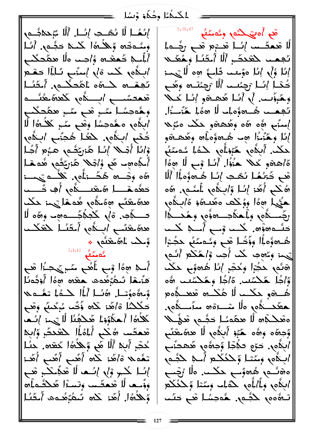$\hat{\mathbf{c}}$ قع أەتىكتُە وشەمئى اللاشتا

لًا هُعفٌــب )ِنُـا هُــْبْمِ ۚ هَبِ رَجُّــهِ ۖ

تُهِمَسَا لِمُتَعَدِّجِ ٱلْلاَ أَمَثَتُكُمْ وَهُتَكَبَدَ

إِمَا وَإِلَّهِ إِمَا هَوَّمِيتَ كُلَّيْ وَهِ لَا يُحِيتَهِ

خُدْمَاً إِسُّا رَجِنُنــه ٱلْأَ رَجِنُنْــهِ وَهُــعِ

وِهَبِوَّبٍ. أَبِي أَسَلَ هُدَدْهِ إِسَلَ كَمِيلا

تُجِعَبَ هُـــوَوْمِكَ لَا وَوْمَا هُنُوــزُا.

إِسْبَامٍ وَهُ وَهُ وَهُدْهُو لَمَكُمْ وَجَالِمًا

إِبُلُ وِـمُنْنُوا هِـدٍ هُـِـهُوْمِلُه وِهَٰـهِــهُو

حكْم أَبَدُّهِ هَبَّوْلُهِ كَدُا شَمِعْهُ

كَاهِدْهِ كُلًّا هِنُوًّا. أَسًّا وْبِ لَّا دِهِدًا

هْمِ خَرْنُهُا نُهْدِ إِنَّا هُـهوْوَاْ أَلَّا

هُ كُلُّمٍ أُهُدَ إِصْلَا وَإِلَيْكُمْ ۖ مُّشَمِّدٍ. وَهُ م

هَنُّهَا هِهُمَّا بِهُكُم مَعْبِقَةٍ وَابِنَاهِم

الجُــْمُومْ وِلْمُحَكَّحِــْدِوْوْمِ وَهُـْـِـكُمْ

فَلَسْمَاهِؤُهُمْ. كُنْتُ وْسَعَ أَنْسَجْ كُنْتُتْ

هُـهؤُماً وفُحُـا هُـم وِـُـمنّنُ حَجَّـْ ا

لَيْمِنَ وَمُهْدِ لَمْدٍ أُجِدٍ وَالْحَمْلُ الَّذِيمِ

ادْتُمْ حَجّْرًا وِحُجّْرٍ إِمَّا هُدَوِّمٍ حَكَّد

وَّاجُل هَكْسُبٍ هَاجُل وِهَكْسُبٍ هُء

ھُـــۃو حکّـــب لَّا ھُتَـــۃ مَعبُّــۃو

معكمتكُم ولًا متساءُه مدَّستُمُور.

هِ مَحْكَمُ لَا مِحَمَىٰ الْحَجَـٰمِ مَحْهَـٰكَمْ

أَوُّحِهُه وَهُه هُبُوْ أَبَدُّهِ لَا هِهَ مَعْبُم

ابِدُّهِ. حَرِّهِ حَذِّجًا وُجِدُّهِ، هُمحَنَّب

|ابْلُهُمْ وِمَمْنَا وُحْكُكُمْ أَسْمَ حُجُمْہِ

ەۋئىم ھُھۇب ھگىب ەللگۇب

|ابلَاهِ وِلَمَالِمَاهِ حَدَاتٍ وَسَمَا وَحَدُكُمْ

تَرْهُووا لِلصُّومِ. هُوجسُا هُم حَلَّت

)ِتُمُـا لًا تُهْـبُ )ِتُـا. أَلًا يُبْحَدْثُـم، وِمْحدْدُه وَجْلاُهُ كُنْ حَجَّـهِ. أَنْـل ٱلْمَـــــم ذَــمعْــــره وُٱحــــد مال معكَّــتـكــــع ابْنُاهِمْ كُتْ ةَالْمَ إِسْتَبِي تُبَالِمًا حَصْمَ ئڢڤα ڪ‰ە اهٌڪُم, اُمکُــُــا تَعْمَدَسَّب ابْتُدَّهْ لَاحْدَةَ حَكَّسَتْ وهُوجسُا سُبر هُم سُبر ههُجكُم ابْلُه معْجِمًا وَقْعٍ مَّـ كَلُّهُا لَّا صُمْبِي ابِنُمُورٍ. حَعُدًا هُجِنُبِ ابِنُمُور وْإِمَا أَمَّــلاً إِنَـا هَٰ;نِّخُــْم هَـبُم أَجُـاً أَلَّكُوهِبَ هُمْ وُٱجْلاً هُرْيَخُومٍ هُوَهُمْ هُه وَجْــهُ هَكَـــزَلْمَعِ. ݣَلْــه يْهِـــز حَقُّهِ هُـــا هُـمْنَــــٰذُه أُبْ خُــــب ىڭ نىنْ لەھقە رەڭنەھ بىشقىغىم تَسَجَّكَ وَلَى كَجِجَكَ وَمِن وَوَّهُ لَا ههَ هُنُس ابْنُه الْمَثْل لِمُعَكَّس وَسَلَّمَا مَا مَحْشَى \*  $3.1.12$   $2.6$ أَسِمِ وَهُمْ قَوْمٍ لَمُعْنِ مَنْهِ يَهْجَهُ أَهْمِ ْفَنُسْمَأْ نُتُمُبُوهُدَهَا سَعْنُوا مِنَ أَوْجُدَنُا ا وَْحِدَّەُدُوْسَــل هُنُــل أَبَلَٰا ـحَــدُهُ عَــمُحَــد حَكْكُمْ وْأَهَٰذِ ݣَاه وَّتَّب مُبِكْبِكُمْ وِهْمِ كَلَّاهُ الْمَخْوَّوْمَا هَكُمُوا لَا يَهْدَ إِنَّفَ هَعصًب هُ كُلِّي أَلِمُهُمْ لَكَعْدَكُمْ وَّابِيْدَ حُجْمِ أَبِمَ ٱللَّا مَٰى وَجَهَا كَعْدَهِ. حَبُّا تَهُدى ذَاهَٰ: ݣَاه أَهُب أَهْب أَهْب أَهْد إِسًا كُبِرٍ ثَوْلٍ إِسْمٍ لَا تَعَجَّنَكُمْ شَي وَوُّْحِمَّا لَّا مُحْجَمَّى وَيْسَارَا هُكِنُّدَيَّاهِ وَّىٰلاُهُ). أُهُدَ كَلَّهُ سُمُبُرْهُــهِ لِٱحْتُـٰلِ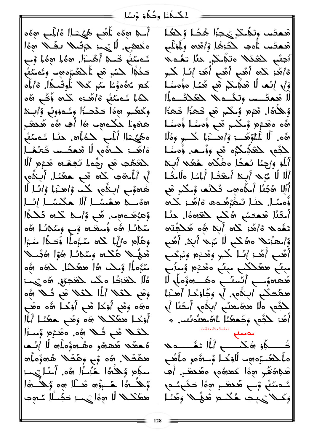أَحْمِ وَمِنَ مَا مَنْهُمْ وَهُمْ مَنْ مَا عَلَى مَنْ مِنْ مِنْ مَنْ مِنْ مَنْ مَنْ مَنْ مَنْ مَنْ هُمُعَثِّبٍ. لَا يَسنَ حَبِّضُما كُلُّمَا مِنْهُمَا مِنْهُمَا مِنْ شُمْمَلُو ضُبْعَ أَهُنْزَا. «هُا «هُا وْمِ حَكُمُ الْكَسُرِ هُمْ الْمَكْتَبُوهِ وَعُمَنَهُ كُم دُوْءُ مَنْ مَدِ كُلا لِمُوتَى اللَّهُ وَالْمُو كَهْلِمْ شُمْمَلُمْ وْأَهْدَهِ كَلَّاهِ وُّكُمْ وْهُ وِكْتُفِيرِ ۞هُا حَدْجِيُّا وِشُووْوِبُ وَۗابْتَدَ هڤولم حكّدوب هُا أُفِ هُو هُدهُبِ وَهُيُمَاا أَيْلَى حَدُبُونَ مِنْا شَوْمَهُمْ ةَاهَــز كـــوهُ الله الله عَـــــــــــــــ كَـزَنُـهُــا لْمُعْظَمِ هُمْ رَجُماً نُهِمْسَ هُـْرَمِ أَلَٰا أَبِهُ أَيَلُمْ وَهَا رَحْمَهِ مَعَاهِمَا وَالْمَجْمَعَةِ مِنْ الْمَجْمَعَةِ مِنْ الْمَجْمَعَةِ مِنْ هُهوَّبِ ابْنُهم كُب وْاهِنْها وْالنَّا لَٰا وَجَهَنُدوهِ۔ هُم وَٱسْطِ كُلُّهِ كَلَّكُمَّا مَكِلًّا ۞ه وُمعْدُه وْبِ وِمَكِلًّا ۞ه وِهَٰأَمِ هُ إِلَيْا كُلُّهِ مُنْذُوباً وَّحَـٰٰٓهِۢا مُنْتِزا هَذُلا هُدُه مِمْلِدًا هُوْا هُمُسَلا مَبُرُه لَمَّا وُحِكَ هُ العَعَلَامُ. كَلَاهُ وَهُو ەُلَّا ۞هُزْدًا مِكْمَد ۞هِجَرَفِ ۞هِ يَهِمَّ وِهْمِ لِمَثَلاً أَبَٰلَ لِمَثَلاً هُمْ شَلاً وَّهُ ەھُە وقْع أُوْجُل قْع أُوْجُلْ ھُە ەقْع أَوْكُمْ هَفَكْلًا هُو وِقْعٍ حَقَّمًا أَبَلَا لْمُصْلًا قُلُوبٍ شُلًّا رُبُّهِ. وَهُـْبُو وَمِـٰزًا ەْھەكلا ھُھەۋە ھەشەۋەباھ لا الىگ هكَتْݣَا. 6ه وْمِ وِكْتْݣَا هُدْوُهِ أَمْ معكِم وَكِلْهُا هَٰٓئُمَّاْ هُ٥. أَمِثًا يَهِمَّ وَْ لِلْكُلُّ اللَّهُ مِنْ وَاللَّهُ وَاللَّهُ مِنْ اللَّهُ مِنْ الْمَسْرَدُ جمِدُ الْحَجَّةِ مِعْنَ اهْمِ الْمَكْلَفَةِ مِنْ الْمَسْتَمَامَةِ مِنْ

هَعصًى وَتَمُكُرِّي جَزَا هُجُا وَّكَعُلَّا هُعطَّى ـ أُوب ـ لأَجْرْهُا وْاهْدُ وِلُوْلُم أَجِنُم لِمَعْكَلا هَلَمُكُمْ. هِنُا تَعُـمِلَا ةُاهَّذْ كَمُنْ أَهُمْ أَهُمْ أَهُدْ إِسَا لِحْبِر أَوْلَى }لله لَا شَكَّفَكُمْ هُم هَٰنُا وَوُّوسُاً } لًا شَعتَـــب وِتتَـــملا لِمَكْلَثَـــملَّا وَجَلاَهُا. مَعْوَمَ وَحَكْمٍ مَعَ خَمْرًا خَمْرًا ۞۫ه هڠتِرم وۭٞٮػٛٮڹ ۿؠۜۛ ۏٞڡٮؙٵ ۏٞڡٮۢٵ رُّهُه. <sup>ا</sup>َلَّا غَلَّةٍهُـــ; وْاهِـــَ; اِ كُـــبِر وِهُال َكَثِّمٍ كَعَكَبُكُرُه هُم وَوُّـمٌ. وُمصُـلًا أَبَلُوْ وَرُجِئًا نُعِجًا دِهْكُلُ عُعَكَدٍ أَبْدَ أَلَّا لَّا يَجِي أَبِيْ أَحْقِقُا أَبَلِيًا وَلَاحِقًا ٱُٱلل هُجۡنُا ٱمۡكُوهِٮ ثَـٰلُـُڡ وَۡمَـٰٓكُمۡ هُمِ وْْوِسُا. جِبُا يُجُرُّجُوهِ وْأَهْدَ ݣُدُو أَحَطًا هُعصُم هُكُم كَعْدَهُا. حَلَّا تَعْمَلا ةَاهُ: ݣُلُو أَبِلا بْقُو هُلْكُفْتُو وَٱٖا مَعْنُوْلًا وَهُ كُلُّمٍ لَٰا يُبْلَدُ أَبْلَا. أَهُم أَهٌم أَهُد: إِسَاً كُبِرٍ وَهُدْوِهِ وِيُبِكُمْ مِلَّعٍ هَكُلُكُم مِلَّعٍ هَدْءٍمْ وَمِلَّامٍ ھُھەوَٓ— اُسِّسَے ەھُ—ەوُٓەڸؙ لَا هكَحكُم ابِكُمِ. أَبِ وِجَاوَكُما أَهْنَهِ! لِحَجَّمٍ وَلَا هِمَّصِمَّعٍ /بِكُمْ أَحَكْنَا ﴾ أَهَٰ: لِحَبُّمٍ وِجُعِعَنَا لِمَحْمَدُس. \*  $3.22.36.4.1.3$ ولمعاصة مألمعُنة وهوب للوحْل وُستؤهو مأهُم هُدْهُفُر وهُا كُعْدَةُه وهُدْعَتِ أُفِ مُـممُهُ وَمِــم هُـممُــمِ وهوا حَكَــمِـمـم أَوْكَــلاَ يْهِـبْتِ هُكْــمْ هَـرْيَ ٱلْحَمْـا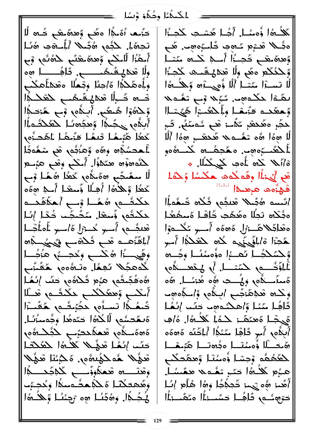حَنُّتُ أُهُنُّمَا وَهُنَّ وَهُدَهُنَّ خُلُّهَ لَلَّا تَجهَّلِ حُثِّمٍ هُجُمْلاً ٱلْمُحَسَّنَ هُنَّا أَىعُزًا لَّاسْكُمْ وَهِرَهُ هُنُم كُلُونُو وَمِ وِلًا هَٰذَا هُشَدَّمَــــــــــ دُّافُــــــــا ۞ه وأُههَدْ اللهُ الْأَرْجَعُ الْمَعْلَمَا وَهُوَ الْمَعْلَمَةُ وَمِنْهُمْ وَمِنْهُمْ وَمِنْهُمْ وَمِنْ تْــه خَــبِلًا مْمَالِيشَمَــمِ لِمْعَلّـــٰهُا وَجْلِاهُوْا هُىعُبِي. أَبَـٰأُهر وْبِي هَـٰٓزَحَـٰٰٰۭٓٓا اَلْعِدْكُمْ لَدْهَجْمَعْ) الْمُجْرِحِ وهفْبَأَ كَعُل هَبُسُمَا قَسْمًا فَنُبِصًا لَمُحَدُّون لْمَعْسُدُو وَوَى وَعَزْتُمْ مِّي سَمُّوجُلُّ كْتُوهِوْهِ مِنْكُلُوا أُمَّكُمْ وَهُمْ هِبْمُوا لًا مَعْجُمٍ «هَٰنِدُّهِ كَعُدَ ﴿ مَا قِبِ كَعُدًا وَجَدَّدُهُ أُجِبُلاً وَجَمَعْنَا أَجِدُ وَوَيَ حكْتُــــمِ هُــَــا وَــــى أَــمْلَاكَــــــــــــو<br>حكْــتُـمِ وَّــمِعْل مَـحَّـمَــب خُـدْا إِنْـا هْدَفُسِهِ أُسِيرٍ كُنْزَلَ ةَاسِيرٍ لِلْمَلَّاشِيل أَلِمَاظَرُهِـــهِ شَدْشَـــمِ فَيُحِيَٰبِـــٰكِمِــٰهِ وفِّي أا هُكْب وِكْجَـــوْ، هزُجُـــا گُەھجُلا ئېغا. ەنىۋەەر خَقَىزَى هُّەفُجُىثُم ھ؛م ثُلاھُو خَلَّ إِنْمُـا أَىكْبِ وَمِعَكِنْكِ مِكْتُبِ هُــُلَّا خُمُــدًا تَـــأه حِجّْبِثُــه عَقَـــْزَا هُنفُتِيَّهِ لَالْكُلُّهُ | حَكُمْلاً وِجُمْنُوْلَ. كَمُعَاهَمٍ شَعْبُكُمْ مِثْبُكُمْ وَشَرْسَهِمْ حَسَّبِ إِنْهُمْ هَذِّيهِ كَلَاهُ! حَقَلَهُا تَعرَفُها ۖ هُـه حَكمُ مَثْنَ مِنْ اللَّهُ مَعَ مَلَى اللَّهَ مَعَ مَلَّى مَعْ مَلَّى مَعْدَ مَعَ مَ وِهْلَــــــرَّ هُــمَكْوِوُـــَـــحِ كَلَاجُـحـــــدُّا<br>وِهُـحَـمِـكْنَــل هَــكَبْــمـحـُـــمـندُا وِحُـمِــَّةِب لْجُـجُا. وِهُجُنُـا وه رَجِنُنْـا وَجِدُّـهُا

لْحُدُّهُا وُوسُل أَجُل هُسْبِ كَجِبُراً ەئىلا ئىنوم ئىمە ئامۇمەت ئى أَوَّهُمَّعْبَ خَجِئًا أَسْهِ كَلَّهِ مَمْسًا |وَحْكُكُمْ هَمْعٍ وِلَا هُجْهَتُمْتُ كَجَزَّا لَّا تَسْآلَ مَنْسًا أَلَّا وُّي آرَه وَكُلُّهُ! ىكَـْةَ كَلْـدْهِبْ كَبْرْتْ وْبِ تْغُـدْ وَحِعَدَد وَمُحْمَلٍ وِلَمَحْشَدِ الْحَيْدِ الْمَحْمَدِينَ بِحَجْمِ وهُدهْمِ حُكَمَا هُم شُومُكُمْ. كُم لَّا مِهَا هُو يَعْسَمِ هُجِعْتِ مِهَا ٱلْأَ لْمَكْسَبُوهِبْ مَعْجِفُوه كَسْرَةُومِ ة/أملا لكن لمُأهب للميكُمُلا. • هْمْ أَيْهَا وَهُدَهُدَ حَكْمَةً وَحَدْثًا وَحَدًا  $\sum_{25.1.2}^{\infty}$ es أَنَّسه هُجُىلاً شَعْبُم ثُكْلُه خُنْفُهِ} ەجْݣُلُ نْجِلًا ەھُھُجا خَاقْلْ ەْسْھُعْلْ ەھْلِكُلاھَــزُل ەُھەُە أُمـبو كَنْــەۋا حَجَّزًا وْالْمَحْكَمَةِ مِنْهِيهِ فَإِذَاهُ الْمَسِرِ وَّكْمُكْجُلًا تُعْشَرُا هُؤُهْمُنُنَا وِجُنُّهُ مَالِمَ فَسَمِعَهِ مِنْ الْمَسْمَدِ مِنْ فَالْمَدْ مِنْ مِنْ مَالِكَةِ مِنْ مَسْتَمْرِ ەُمىلُمىنلەر ولُمىسى ، ھُو ھُزئىل ، ھ وِكْلُو هُدِمُزْجُبِ ابْذُورِ وَاسْلُوهِت دَّاجُا مَنْا وَّاهِكْ٥وَ حَنِّ إِنْهُا كَهِجْمَا هَمْتُهَا: هَامَ الْمُسْرَةُ الْمُرْهَ أَبَدُّهِ أَـبِ ثَـاهِا مَنْكُما أَلِمَتُمْ هَ1هُ هَعْشَالُ وُمِئْنَسَا مِجُمْسَا هَبُهْسَا للطّفُفُه وْجِسْا ؤُمِنُنَا وُمفَحَكْب هِبُمِ كَلَّهُ احْتَى مْقُولًا هِمُسْلًا. أَهَّد: ﴿ وَلَى يَهْدَ خَجِجُجُلَ وِهَٰلَ هُلُومٍ إِنْسَلَ حَرْهِنَّــمِهِ كَافُــا حَسَّــ;اَٰا مَكْسَــ;اَٰا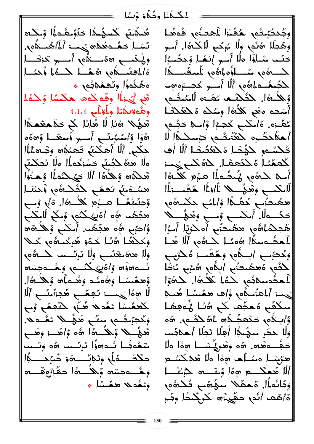هُدَبَّمَعٌ كَسَهُّدَا حَآَوُ هُـدَاً وَمَكَـدَه سُما حَمَّـهُ\$ُهُ يَبْءَ أَبَلُ/هُمَــٰذُهِ. ولُحْب ِ%سنةُ لِأَسبو تَدرْسَــا ةالمقلَّــٰدُه، هُـمُــا كـــهُا وُحسُــا ەھُـُدُوُّا وِنُـْھِـھُـٰٓاجُم \* هُمْ أَيْهَٰذُاْ وِقُوحُوْهِ حَكْمَتُمَا وَحَدُمًا وهُوتِكُمْ وِلَمَوْلَى 4.1.6 هَدُوه هُنَا لَا هُلَنَا ﴾ دجْعفهخُا هُوْا وَٱسْبَيْتَ ٱسِبْرِ وَمَعْصًا وَهِهَهِ لْمَكْنِي. ٱلْلا أُهْكُنِّي كُهْنُكُمْ وَجْـُومَالِمَا هِلًا هِمَّكَمِّسٌ حَسُنَكُمْ ا هَلَّا نُجِكْمٌ تَعِبُّكُمْ وَجَعَدُهُمْ أَلَّا دَيْجِيَّدُهُ أَمْ وَجَعَبُوْا هسّشَهُ نَعِمَى حَفِّدْ هُ وَحَسْدًا وَّحِسُسُمُـا عَـبُمِ كَلَـٰهُا. وَٱ﴾ وَجِــــمِ ھجُھُّ ۞هِ ٱهُن ۡكُنُم مِّنَ ٱلۡكُنۡمِ وُاجَبَعٍ ۞٥ محكِمًا. أُسْكُم وَكُلُوْهِ وِكْلَّكُمْ هُنُا كَـهُوْ هُبِكَــهُ٥ كَــلا وِلًا هِمَّمْهُنَّـــمِ وِلًا نْبِئَــــبِ كَـــوَّى شەھۋە ۋاڭىن كەلگە بەشھەر ۇھمَىسُا وەدئە وەْجاھ ۇھەرا. لْلْ هِهْلِيَ ۖ مَٰهُمْ ۖ هُجِزْنَتَ ۚ ٱلْل كَعْمُسُا تَقُومُ هُنِّي كَتُعِمَّعِ ثَنِعِ وكجزشه من شؤكا تقْمَعا. تَعَنُّبُ لَا وَلِلْكُ وَأَنَّ وَاهُمْ وَاصُّهُ وَقَسَمَ سْعُوجُــا شُــوووُّا بْبِنَـــب ۞ه وِنَـــب حَكْكُـــــهُلِّي وَتَجْنَــــــوهُو خَـبَرْهــــــجُل وتمُه به همُسُل \*

وَجُدجُ ُ حَقَّ الْمَعَدُونَ وَعُدُّوا لَمْ يَوْمَعُ وِهَجْلًا هُنُّمٍ وِلَّا مُبِكَى لَّاكُدْهُا. أُسِر حَنَّـــ مُّــاذًا هاْلاً أُسبو إِنْـهُــا وِّحجَّـــبُّا كَــْدُّهِ مُـَــِّلْوُّهِ لِمُهْمِ لِمُحَفَّــِـهِ ا لْحَمْدُواْهُمْ أَلَّا أُسْبِر كُجِمُوهِ وَجَلَاءُا كَذَٰلَكُمْ عَكَـٰزَهِ لَّاسُنَدُّے أَسْجِهِ هِمْ لَمْلَاهُ وَسُلْهِ هَلْكُلْقَا تَضَّرْهِ. ةُأَسَّلَبِ تَدَيَّرًا وُأَسْلِ دَجَّـهِ أَهَكُمدً بِهِ لَهُنَّنَفُ مِنْ الْمُسْلَمُ الْمُ كُحْشُـه حِجْهُجْـا هَحْقَقَىجْـا ٱلَّا ٱفِ تحمير كم من المستقار المصرية أَسْطِ لَحْدَةُ مِ يُحَشَّمِلُمْ هِجْمِ كَلَا مُا لَاحْمَى وِهْنُهُمْ الْمُوْلَمَا هَفَسَنَا مفحَنَبِ مُصَدًّا وُالِبُ مكْبِ هُو حَكَـــهِلَا. أَمْكَــــح وْســح وِهْدُهُـــــلا هُجِدْءَاهُو مِهْتَبِ أُوحِيْنَا أَبْرَا أَحْشَـٰدَمَنْدَا هُوسُـا لِـْـهُوبِ ٱلْأَصْـا وَكُدِّسِ ابْنُاهِ وِهَقَسَۃٍ هُكْتِسِ لَجْمَعٍ هُمَطْنَحْنَى الْبَاْهِرِ هُتْبِي مُتْكَلِّ لْمَحْمِىٰهُمْ حَدُّهُ لَكُوا حَدُوْا يُهِمَّ أَبْلِحَنَّمْكُمْ وُلُفٍ هَمَّسُلٌ هُمِيرٌ سَكْفِّمٍ هُـعتُما كُمْ هُـُـا هُـُّەهِـهُـا وَإِسِلاَهِ حَكَمَكُمْ عَلَى اللَّهُ حَقَّـهِ. 60 وِلًا حجَّہِ معهَّماً أَهِلًا تَجِلًا ٱحْمَلَصَ حَقَّـــوهُده. هُو وَهْدِهُــْمَـــا هِوْا وَلَا هجْنُها مِمُسْلُم هِوَٰا وَلَا قَدِيمَكُمُسُور ٱلْا هُمثَّـــم وهُا وُتـــو جَيْئـــا |وِكَالُه∫اً. هُـعفَلاً سَهُ¤ُب ثُكْ۞ُهِۥ ةُ/هُمْ أَنُمْ حَجَّيْرَةَ كَمِكْمَجُلَّا وَكَبِر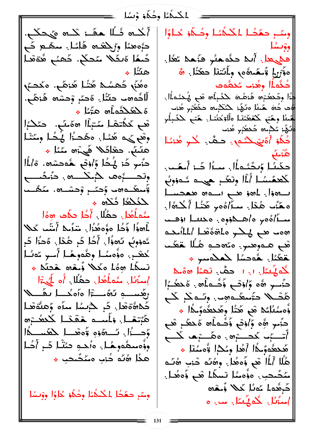## لمكْتِمُمْا وَحُكَّوْ وْتِمَا

أَحْده شَلَا هفَ; حْده هَيْحَكَم. دَوْمِعْلِمْ وَرُحِمْدُهِ قَالَها. معظَمِ كَمِ كُىمُا ەُىكَلا سُحكْ. كُھنْع هُتَوْهَـا هٽُا ۽ ەھُنَّى حُھسُـُمْ هُنْـُا هُزمَّــى. ەڭحـَّى لْأَهُدە حَنُّدًا. ەُحَمَّ وْحِسْدَ فَرْهَى. هُ لَعَكْدُهُ أَنَّهُ عَتَّمَا \* هْمِ كَذَّتْهَا مُتزِلًا هِمَنِّي. حَكْرُا وِهْدٍ يَبِهِ هَٰذَا فِي مَكْرٍ مِنْ الْمَثْلِ وَمَثْلِ هَنَّمٌ. حَعْائُلا فَيْءٌ مَّمْا \* دَّىبِ خَز يُحُلَّ وُٰاوْتَى ـهُـوَحَسْنَ ﴾ [الْمَلَ وِلْـْــــــزُەھ ۖ جُبِيْـَــــــــهِ ۚ. حَنْمَــُـــــعِ وَّسطَـــەھە وَجِئْبِ وَجِشَـــه. مُنْھَــب لمُلْعُلُم ثَلْاه ﴾ مُعلُمُا. حقُلًا. أَحُل علَات وها ـلَّاهؤُا وَّحُـل هؤَههُٰذُا. مْتَلَيْطِ أَمْتُبِ كَبِيلا غُووِبُ نَهوُّا. أَحَا ثَرِ هُدَا. هَدُّا ثَرِ حُقَـرٍ. هؤْهمُـا وِهُهوهُـا أُسـو عَهنُـا \* Lísâ vâ j Nio Lóg Lhui إِسْتَرْبًا. مِنْدَاْهُدَا. دَهُّلًا. أَوْ لَيُّ تَزَا رَهُسِبِ نَهُ أَنْ أَهْدَا لَهُ ﴾ كُهْ، وَهْدَا. كَرِ حَرْسُل سِرَه وَهِنَّهَ هَـا هُتِمْهَا. وَلَمحْتُ هَقَحْتَا كَحَعَتْ وَهُ وُحِسْرًا. ئَسْتَوْوِ وُوْقْسَا كَيْفْسَنْدَا ووْْەسمْدُوهُـل. ەاُھـو ھئْلْل كَـرِ أَكْـل هَذَا هُنَّهُ دُنِّ مِنْشُعِبٍ \*

ومّم حمّحُا لمكْلِّمُا وحُكُّو كَاوُا ووْبِسُا

ومنب حمَّحُما لمَكْلُمُمَا وحُـكُو كَمَاوُا وۋىسا هله أنه منه منه السلام العربه |دَوْرَي! قُبْضَيْدُورٍ وِلَمُتَنْلَا حَقَتُلْ. ۞ ||صُنُّمأً| وهُن كَنفُوت أَأَا وِكَعِفْتِهِ فَرْهُـهَ لِكَـٰبِلَّهِ شَى هُـٰدَـٰءَاً. أَوْتِ دُوْ هُمْلًا وَنَهُمْ لِمُنْكَبِّدِهِ حَكْفُبُرٍ هُذِب مُمِلًا وِهَبْ لَحْقَقَتُنَا وَلَٰاوَكُنُنَا. هَبْ لِكَبْلُو الَّكُمْ: مُكْبِّدِه كَحْفُبُرِ هُذِب حُكُوْ أَهْتَى حُسْهِ وَحَسَّى الْمَحْرِ هُوَ مُنَا حكْمْنَا وُبِحَّدْهِ أَا. مِيزًا جَبْ أَيمَي. كَعْمَسْنَا ٱلْمَالِ وِتْعَبّْرِ هَيْءَ شُدَوْوِبُ تسوول لموو مي أسبانه محمد المسلم ەھَّزٌم ھُدَّا. مىلَّاەُەر ھُتُا أَكْدَەُا. مسألهُ من ما مع الأودي و حلال اؤهــد هەب ھے لیے ماقةُ ھا المااُسم ھُم ھەوھىر. ەڭھكى ھُـلَّا ھَھَـ بقعَمًا. هُوصُل لمعلومبر \* گُوپُسًا. ن ن حقّ تهنا هوَها دَّسرِ ۞ه وَۗاوْتَــ وَّشُــه الله : هَـحَفُــرَا هُشْمًا حَتَّمْعَكُمُوْمٍ. وَيُسْمَحْ كُلّْعِ .<br>وْهِمْنُلْكُمْ هُمْ هَٰتُلْ وِهُدْهُوَمُمَّا \* حَنَّىبِ وَّهُ وَإِذْتَى ذُكَّدَاْرَهِ هَٰحَظَمِ مَّتِ أتسبَّب تمصــــــــوه. هكـــــــوها كمـــــع مَحْجَدُوَجِدًا أَهُدَ وَحَكَمٍ وُوَحَمْنَا \* هُلَا أَلَمَا هُم وَُوهُدا. وِهُنُو شَوْبِ هُنَّو مْكُتّْحِبْ. دَوْْمَمُلْ نْسَكْلْ قْنِ وُّدْهَلْ. أَحْرَشُه لَمْ كُلِّي لَا أُمْتُوهِ إِمْرَهُا. ݣُولُمِيا. ما. ه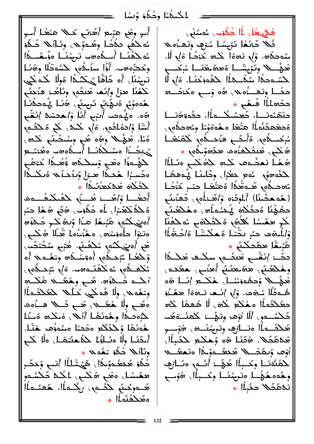أُمرِ وقع هَبُــم أَهُـٰٓتَــم كَـــلا هَنُعُـا أُمــرِ ثَه لِمُهُم حَدُّكُمْ وَهُـوَوْلا. وِتَـٰأَلَلا حُـكُوْ ثَه لِلْقُلُمِ أَسْلَمُوهَبَ تَوِجُنُنَا وَوُسَعُمَلُهُ ا وكحزِّدهم. أَوَّا سِيَسْدُو، كِشَوْحَلَا وهُنَـا تَرْمِمُلًا. أَهْ خَاقْلَا حَكَّمُ الْمُكْتَرَىٰ الْمَدْمِنَا مِنْ الْمُدْمِنَا لِلَّهُ كْمُمُا هَوْلَ وِإِنَّمْ هُدَشَهِ وِتُلْهَدْ هَذَهَبْ لْنَامُحَمَّـنُّ لَنْاهُ . شَعِينًا مِّنْهُمْ يَوْهُمَكُمْ لِلْمَامَةِ مِنْ هُه. ههُّعت أُنتِها أَنَّا وَالْعَصْنَةُ إِنَّقَّهَا أَسْأَ وَٱحْمَٰلُحُمْ. ۚ قَالَ كَلَّمْ. كُمْ قَالَحْقَمِ ەُمْل. تَعَهُّىلاً وِھَە ھُب وِسُمْحَمَّە كَمَدە . حِيضُـُّا مَمَّىكُمُّلُّا أَــكَمَّدَهُ مَعْنَــْمِ َكَؤُّدَوُّا هِمْمٍ وَسَكَدُهِ وُّهُدُهُا كُتِرَهُم وَحَسَبًا هُدَهًا هَـوَلَ وَبَرَّحَـرَهُ وَبَكْلِهِ وَالْمَسَلَّمَا للثَّلاه م*ُلمكعدُنَ*ىد*ُ*ا ؞ أُحعُـــا وْاهُــــ: هُـــنّ، حَقّىكَمفُـــــمِ ه هُ لِلۡكَٰلَائِدَا ۚ. لَمَا حُكۡوَٰٮ ۚ. ۞كَٰى ۞هُمُا حَبۡرِ أەپ كُتُم، هُبُسُمَا هِـزًا وَبِهَ كَبِ حُـكَوْنَ ەنىۋا داەزىتىم . مڭئىئەلم شىلل ئەتكىم . هْمِ أَەپْكُمْ ، كُلُّفَسِّ. هُرْمِ سَكْتِكْ. وَلِكُما مُرْكِدُهِ أُدْوَسُكُلُهِ وِتْعُدُمِلا أَد ئلاھىلەر، ئەتكەئىدەم. ئار ئېمىلەر. ألمــه كُــكمْؤْه. هُب وِهُعَمَـــلا هُكْـــهِ وتعُهد. ولَا فُهكِي حُـلَملا ۖ لحكَمْحُـماُا ەھُب وِلْا ھُھَٗــــلا. تىب ئَــــلا قــــأەھ كؤهدهُا وِهُوبُهُا أَأَلا . هُكْدُ مُخْذَ هُوبُهُا وُكِنُكُم ودْمَا ومُوَوُّم هَتْبا. أَحْنُـٰا وِلَا دَنَـٰاؤُ ا لِـكَاـِمِتَنفَـا . دلًا كَـٰـح ولَأَالًا حُكُوْ سْفُدِيا ﴾ حُكُوْ هُدْهُ وَمِدًا. هَيُخُلِّأَا أَنْبِ وَحَضَّـ ھىمَسُل ، ەقىي شكىب لىكىھ كىشتەر كُنْدُوكِينَ لِكُنْدَةٍ. رِكْنُدَاًا، هُفْتُنْدَاًا ەھَكْشُمَاْلْ \*

ِ قَتْلِ هَا . أَلَّا حُكْوَفٍ . شَمْعَهُ . َ ثَلا خَرْبُهُا نُرَّبِسُا مُـْرَفٍ وِلَـْفَـزُهِ لَا مُفْحَدُه. وَإِنْ نَهْءًا كُلْهِ كَرْضًا وَإِنَّ لَا. هْدُكُلْ وِنَرُبِتْسَا هُعْهُ فَتَسَا مُرِكْسِبِ حكُما وِلْعَـــزُه\. ۞ُه وْبِ مَكْزَكَـــرَه حثَّهلما الصُمُّمِ \* حنْفَخُونَــــل، خُمسُنُكَـــملُّل، حخُورٌ%نَـــل هُحفَعَصَّفُماُ مَتُعْلَ مَعْدَّوُمْا وِمُحَكَّمٍ. مُبِكَسِـدُهِ. هَ/ُمَكِ هِنَدِـدُهِ، كَتَمَنْعْبَـا **%ْكُمِ. ۿْىنْخَلْحْنُوه هْكُلاَوُهُمُومٍ \*** هُمُا تَعشُّده لَّدُه لِاهْتَي مَنَالَمَا لْحُدُوهُ ۚ يُومِ حَمْرًا. وِخَاصُاً يُوْهِمَا مُوحِدُورٍ هُجِوَهُمُ وَمَتَعْدًا حَيْثِ كَزُجُهَا (هَمعشُمُا) ٱلموضَوه وْاهْدنْلُوم. هُدْنَبْ حَمّْهُمُا هَحثُكُمْ ﴾ كِنُـهِ أَمَّ هُكْتُمَـٰمِ كُرِ هِمَّسُا ݣْلُاهُ، ەَكْتُكْمُ عُكْفَا وْالْمُوْد حَمْ بِتَّمَا هُمكْشَا هَادُوْمُاْ هُبَشًا ممَحَكْتُم \* حَصَّۃ اِنُغُبِ شَيْءٍ مِكْتَ شَكَلَهُ! وِهُكْعُمَعُ. ه\$ىعتَمَعُ أَهْزَى مَعْكَدَ. هُــودُلَا ـُــوْت. وْ/ إنْــعا نْـــوە( هَــمْــزْو حعَكِثَماً ا معُكَم لَحْنَى. لَا هُعِمًا لَحْنَ كَحْشُــو ۚ. ٱلَّا ٱوْهِ وِلَـهُـــ: كَحَفٌــةهُد هَٰٓڵڎٞ؎ڵٲٳ ٥ڷٮڵٳؙ؈؋ڷ؈ؙٮ۠ڎ؞۞۫ۅ۫؊ هْدْهَٰكُمْ. هُكْنُا هُو وُهكْم حْكَبِلًا. أَوْهَا وُبِكُتْبِ لَا هُدْهُـُ وَوُبْدًا وَتَعْظَـٰبُ لْحَمُتُهْنَـٰا وِكْـبِـاْا هُـهَّـٰ: ٱنَّـٰمِهِ مَنَّـارُفِ وهُدههُنُ اهْتَمِهُنُ الْمِحْسِبُالِ الْهُوْسِي تَمَكَّلًا مَثْبِلًا \*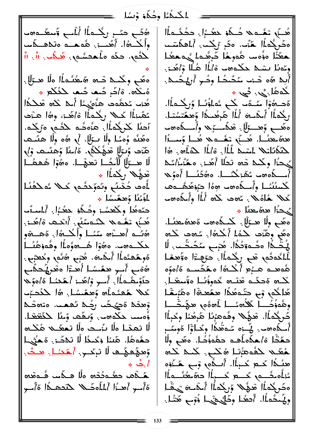لمكتمئا وحُكَّو وْتِسَا

ھُکُے حیّہ ریگھاُا اُاُے وَّسطَّےھ۔ وأَكْتَرُهُ أَ، أَهُمْتَ: هُوهَتُو وَنَدْفَتُ مَنْ لحثَم. حكْم ماْحصْنَم. هَلَمْبِ: ". " ەھُـــى وڭىـــى ھَـــمُ ھُــعُلَـــمَـلَّا مَلَّا ھــــرَّلَا ـ ەْڭلە. ةاڭر ئىم ئىم كىڭلار م هُن، سُمْعَت هِنَّوَيْهَا أَسِمْ كَلَّهِ شَكْمًا عَصَّنِكُمْ كَلَّا رَبُّكُمْ أَلا هُوَ أَمَّى اللَّهُ وَرَبُّهُ أَحَدْثَتِهِ أحلًا كُرِبْكُماًا. هزُّوجُـه كَثُـه وَرَكُـه. دَهُنُه وُدَـُـا وِلًا نَــرَّلَ!. أَبْ رَدُّه وِلًا هِنَّــهـ هَّوْت وَبْرَلَا شَدْيُكُلُمْ. هُ/سُلْ وَهسُّـت وْ﴾ لًا محكِلًا لِّأَحُصَــا تَعنِيَــا. وهُوۡمَ هُعَصَــا مْدَيْلا رِبْكُمْ! \* لمُّەت خُمْنَى وِنُوَجِّحْتَى كَتَلَا تُوخَفُنَا، لْمُنْكُلُّ وَْهِمُنْكُلُّ \* حمّههُا وكُعِسُ: وحُكُو حِعْزًا. ألمسأم هُنِّي تشْمِيهِ حَتَّمِمِّتُو. أَاتْحِفْ وْاهْدِ. هُنَّے أُهنَّوه مِّنْسًا وِأَكْسُوا وَهُو حكَّـــەمە. ەھُوٓا ھُــــەوُّەۦاٚا وِھُەوْھُنُــا هُوهُڪيُّه)ُا أَمْدُمة. هُـْبِع هُـُـُم وِـُحْمَـْبِعِ. ھُەٓب ٱسر ھمَسُل اُھتَا ەھْریُّحدَّب حَاَوُحِشُـٰٓءَلَمَا ﴾ أُسـو وْاهَٰدَ أَحَمَٰدُ الْمَاهَوُلَا كْلا هُدْدُهُ، وَهشَسْا. ۞ كَدُدجَت وْهِدْهْ هْجَهْجُمْ رَجُّهْ نُفْعَمْ. هَ وَهْدَهْ ؤْەسىا ھڭەھەب ۇيقُھا وُسُل ھگقشا. حمُّوهُا. هَٰنئا وَكَىخُا لّٰا تَـٰاكَـٰ: ٖ هَمُّتُىـا وَهِجُعِجُــِدِ لَا تَرِكَــرٍ. أَحَكَــٰلَ. هــتَّ. ∤.ڪ⊸ هُــدُهـ حَمْــهِ دُنْـه ه أَلا هــدَّمـد هُــه هُده َهُ/ُـــو اُهــدًا اُلْمَلُّهَكُـــلا كَنْتَـتِّـتَدَا هُ/ُـــو

هُــَيْ يَهُــهِ لا كُــكُوْ حَهُــيُّا. حَكُــُـمِلُّا ەكرېڭەكما ھَنْد. ەكرىرىگىد. كماھكەننىد لمُعَتَبُلْ دَوْءَ مِنْ كَرْمَتُومِ الْمَحْمَدِينَ مِنْ مَعْمَدًا وحَّمْلًا بِشِيعًا حَكْمُومِ وَأَلَمَّا الْمُحَلَّا وْأَهْدَى أَبِهِ هَء دْ: مَكْنُدًا وِدُرِ أَرَكْتُمْ. ش سے : روْ. لَه مكْ ەَحِبُوْهِ مِمْــوَبِ كَلِي شَمْلُوُنُــا وَرِكْــولُه ا. رِكْداًا أَحْدَىٰهُ أَلَمًّا ۖ هُرِهُمحُا وَحِمَّتَسُدَا. ەھُب ۆھتۇلى. ھَكَسَبَىك وأَسْتَكُمەت هدَهُ حديثًا. هُــــتَّى تَـهُــــمِــدَ هُـــــا وَمــــــرَا أَهْ مِنْ الْمُدَارِ وَٱلْمُلَامِنِ وَٱلْمُسْتَمَارِ ﴾ [السَّمر: 6] لِحِمَا وِكْمِهِ دَهِ تَطَلَّا أَهَدَ. هِمَّنْتُمَائِكُمْ أَسِــكُوهِبَ يُهُزِيْكُسَــل وَهُكَسُــل أُووَّىلا لْكُسْلُنُـا وأَـــكُوهب هِوَا حَزْفَعُشُــوهـ كملا هُاهُلا. كەد كە اُلما وأَسكوھ لمحدُّا هضَها \* ەھُم وِلَّا ھےلَّا). كَمْمُوھە ەَھەەَمْھەُمْل. هَغْمٍ وِهَّزْتِ لِهِمْ لَمْ كُلُّهُ لِّهُ عَلَيْهِ عَلَيْهِ مِنْ كَلِّهِ ِ لَخَّـٰـٰہٗا ہِحْـٰ۔وَدُہٗا. ہُـٰٓٓٓٓٓٓ ہِبِ مَـُحَّـتَّـٰٮ ِ لَٰا لْمُدُدُّمِ هُـِ رَبُّكُماً!. حَرِّهِۦٓٓۥٓا هَ وَهُمْمَـا هُوهد هؤم ألْحَدهُ المَحَمَد وَاوَوْه لْكُلُّهِ ۚ وَحَكُّمْ هُلُّلُهُ لَمُعَوِّزُكُمْ وَتُسْعَدُ }. هَاكُم وَبِ حَتَّدَهُدًا همَّهِ قَا دَهَّبَـقَّا وهُووُحُـــا كَلاُه مُـــا لْمَهوْهِ مِنْهَنْــَــا حُرِيْكُماًا. مْدَهَّلًا وِقُوعَ ُلَّا هَٰٓ مُرْمَٰنًا وِكَرِيْاًا أَسْكُوهِبْ. فَيَ ذَوَّ مُسْتَكْمًا وِكْمَارَةًا وَمِمْسِرِ حَمَّتُا ةُ/هجَّاهِكُمْ حجَّجَوُّكًا. وهُم وِلَّا هُعَكَدَ كَفُوهَزْنِا هُكُبٍ. كَمَكَ كَدَه هِيُـٰهُا حُـٰـٰهِ حُـٰٓبِمُا. أَسِـٰهُم وَسِـِ هَـٰٓءَهِ مُناْمِثْمِ كَلْمِ كَلْبِهَا حَمَّمْتُمَا الْقَرِيَّةِ وَالْمَدَّارِ وَمِنْكُمْ الْمَدَّةِ وَمَثَّلَّاتِهِ وَمَثَّلَّاتِهِ وَمَثَلِّقَاتِ وِهَٰٮضًاا. أَنفُا وِكَلْهِيْهَا وُٰوْبٍ هَٰنُا.